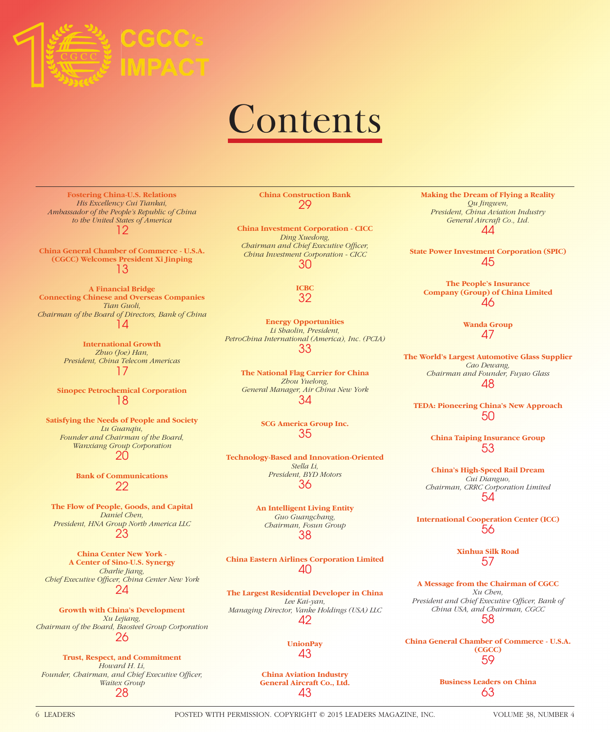

# Contents

**Fostering China-U.S. Relations** *His Excellency Cui Tiankai, Ambassador of the People's Republic of China to the United States of America* 12

**China General Chamber of Commerce - U.S.A. (CGCC) Welcomes President Xi Jinping** 13

**A Financial Bridge Connecting Chinese and Overseas Companies** *Tian Guoli, Chairman of the Board of Directors, Bank of China* 14

> **International Growth** *Zhuo (Joe) Han, President, China Telecom Americas* 17

**Sinopec Petrochemical Corporation** 18

**Satisfying the Needs of People and Society** *Lu Guanqiu, Founder and Chairman of the Board, Wanxiang Group Corporation* 20

> **Bank of Communications** 22

**The Flow of People, Goods, and Capital** *Daniel Chen, President, HNA Group North America LLC* 23

**China Center New York - A Center of Sino-U.S. Synergy** *Charlie Jiang,*  **Chief Executive Officer, China Center New York** 24

**Growth with China's Development** *Xu Lejiang, Chairman of the Board, Baosteel Group Corporation* 26

**Trust, Respect, and Commitment** *Howard H. Li,*  Founder, Chairman, and Chief Executive Officer, *Waitex Group* 28

**China Construction Bank** 29

**China Investment Corporation - CICC** *Ding Xuedong, Chairman and Chief Executive Officer, China Investment Corporation - CICC* 30

> **ICBC** 32

**Energy Opportunities** *Li Shaolin, President, PetroChina International (America), Inc. (PCIA)* 33

> **The National Flag Carrier for China** *Zhou Yuelong, General Manager, Air China New York* 34

> > **SCG America Group Inc.** 35

**Technology-Based and Innovation-Oriented** *Stella Li, President, BYD Motors* 36

> **An Intelligent Living Entity** *Guo Guangchang, Chairman, Fosun Group* 38

**China Eastern Airlines Corporation Limited** 40

**The Largest Residential Developer in China** *Lee Kai-yan, Managing Director, Vanke Holdings (USA) LLC* 42

> **UnionPay** 43

#### **China Aviation Industry General Aircraft Co., Ltd.** 43

**Making the Dream of Flying a Reality** *Qu Jingwen, President, China Aviation Industry General Aircraft Co., Ltd.* 44

**State Power Investment Corporation (SPIC)** 45

**The People's Insurance Company (Group) of China Limited** 46

> **Wanda Group** 47

**The World's Largest Automotive Glass Supplier** *Cao Dewang, Chairman and Founder, Fuyao Glass* 48

**TEDA: Pioneering China's New Approach** 50

> **China Taiping Insurance Group** 53

**China's High-Speed Rail Dream** *Cui Dianguo, Chairman, CRRC Corporation Limited* 54

**International Cooperation Center (ICC)** 56

> **Xinhua Silk Road** 57

**A Message from the Chairman of CGCC** *Xu Chen,*  President and Chief Executive Officer, Bank of *China USA, and Chairman, CGCC* 58

**China General Chamber of Commerce - U.S.A. (CGCC)** 59

> **Business Leaders on China** 63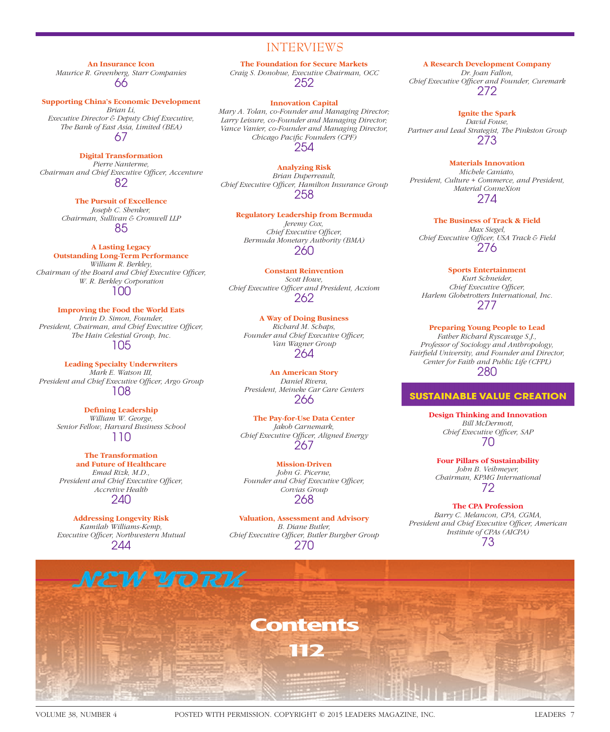### INTERVIEWS

**An Insurance Icon**

*Maurice R. Greenberg, Starr Companies* 66

**Supporting China's Economic Development**

*Brian Li, Executive Director & Deputy Chief Executive, The Bank of East Asia, Limited (BEA)* 67

**Digital Transformation**

*Pierre Nanterme, Chairman and Chief Executive Officer, Accenture* 82

> **The Pursuit of Excellence** *Joseph C. Shenker, Chairman, Sullivan & Cromwell LLP* 85

**A Lasting Legacy Outstanding Long-Term Performance** *William R. Berkley, Chairman of the Board and Chief Executive Officer, W. R. Berkley Corporation* 100

**Improving the Food the World Eats** *Irwin D. Simon, Founder,*  President, Chairman, and Chief Executive Officer, *The Hain Celestial Group, Inc.* 105

**Leading Specialty Underwriters** *Mark E. Watson III,*  President and Chief Executive Officer, Argo Group 108

> **Defining Leadership** *William W. George, Senior Fellow, Harvard Business School* 110

**The Transformation and Future of Healthcare** *Emad Rizk, M.D.,*  President and Chief Executive Officer, *Accretive Health* 240

**Addressing Longevity Risk** *Kamilah Williams-Kemp, Executive Officer, Northwestern Mutual* 244

**The Foundation for Secure Markets** *Craig S. Donohue, Executive Chairman, OCC* 252

#### **Innovation Capital**

*Mary A. Tolan, co-Founder and Managing Director; Larry Leisure, co-Founder and Managing Director; Vance Vanier, co-Founder and Managing Director, Chicago Pacific Founders (CPF)* 254

**Analyzing Risk** *Brian Duperreault,*  Chief Executive Officer, Hamilton Insurance Group 258

**Regulatory Leadership from Bermuda** *Jeremy Cox, Chief Executive Officer, Bermuda Monetary Authority (BMA)* 260

**Constant Reinvention** *Scott Howe, Chief Executive Officer and President, Acxiom* 262

**A Way of Doing Business** *Richard M. Schaps,*  Founder and Chief Executive Officer, *Van Wagner Group* 264

**An American Story** *Daniel Rivera, President, Meineke Car Care Centers* 266

**The Pay-for-Use Data Center** *Jakob Carnemark,*  **Chief Executive Officer, Aligned Energy** 267

**Mission-Driven** *John G. Picerne,*  Founder and Chief Executive Officer, *Corvias Group* 268

**Valuation, Assessment and Advisory** *B. Diane Butler,*  **Chief Executive Officer, Butler Burgher Group** 270

**A Research Development Company**

*Dr. Joan Fallon, Chief Executive Offi cer and Founder, Curemark* 272

**Ignite the Spark** *David Fouse, Partner and Lead Strategist, The Pinkston Group* 273

**Materials Innovation** *Michele Caniato, President, Culture + Commerce, and President, Material ConneXion* 274

**The Business of Track & Field** *Max Siegel,*  Chief Executive Officer, USA Track & Field 276

**Sports Entertainment**

*Kurt Schneider, Chief Executive Officer, Harlem Globetrotters International, Inc.* 277

**Preparing Young People to Lead** *Father Richard Ryscavage S.J., Professor of Sociology and Anthropology, Fairfi eld University, and Founder and Director, Center for Faith and Public Life (CFPL)* 280

#### **SUSTAINABLE VALUE CREATION**

**Design Thinking and Innovation** *Bill McDermott,*  **Chief Executive Officer, SAP** 70

**Four Pillars of Sustainability** *John B. Veihmeyer, Chairman, KPMG International* 72

**The CPA Profession** *Barry C. Melancon, CPA, CGMA,* 

President and Chief Executive Officer, American *Institute of CPAs (AICPA)* 73